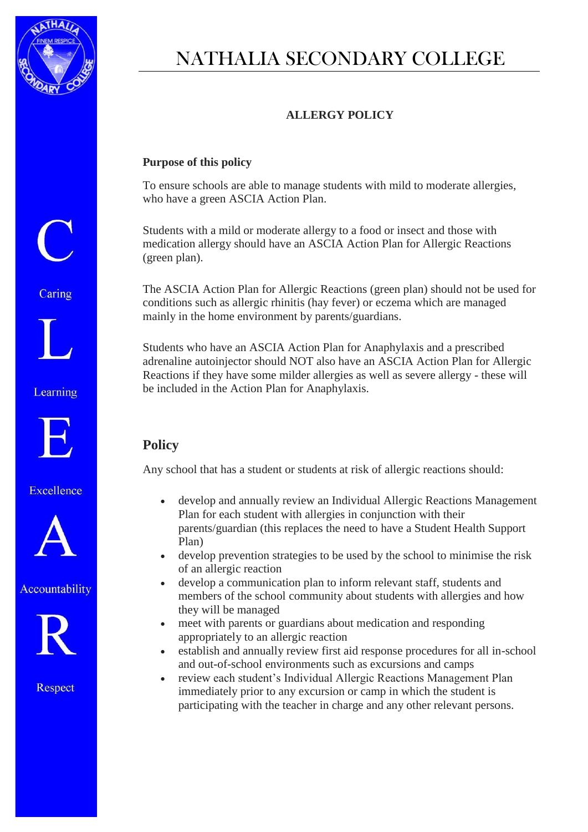

### **ALLERGY POLICY**

### **Purpose of this policy**

To ensure schools are able to manage students with mild to moderate allergies, who have a green ASCIA Action Plan.

Students with a mild or moderate allergy to a food or insect and those with medication allergy should have an ASCIA Action Plan for Allergic Reactions (green plan).

The ASCIA Action Plan for Allergic Reactions (green plan) should not be used for conditions such as allergic rhinitis (hay fever) or eczema which are managed mainly in the home environment by parents/guardians.

Students who have an ASCIA Action Plan for Anaphylaxis and a prescribed adrenaline autoinjector should NOT also have an ASCIA Action Plan for Allergic Reactions if they have some milder allergies as well as severe allergy - these will be included in the Action Plan for Anaphylaxis.

### **Policy**

Any school that has a student or students at risk of allergic reactions should:

- develop and annually review an Individual Allergic Reactions Management Plan for each student with allergies in conjunction with their parents/guardian (this replaces the need to have a Student Health Support Plan)
- develop prevention strategies to be used by the school to minimise the risk of an allergic reaction
- develop a communication plan to inform relevant staff, students and members of the school community about students with allergies and how they will be managed
- meet with parents or guardians about medication and responding appropriately to an allergic reaction
- establish and annually review first aid response procedures for all in-school and out-of-school environments such as excursions and camps
- review each student's Individual Allergic Reactions Management Plan immediately prior to any excursion or camp in which the student is participating with the teacher in charge and any other relevant persons.



Caring



Learning



Excellence



Accountability



Respect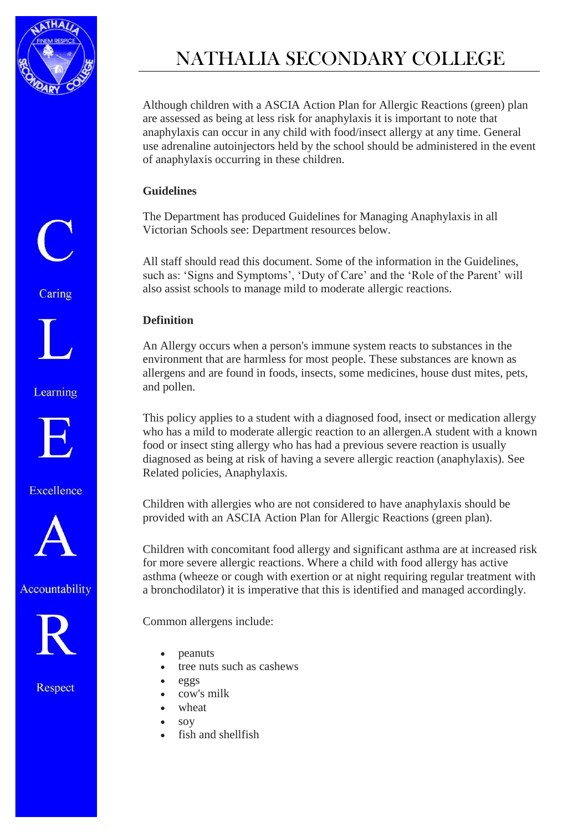

Although children with a ASCIA Action Plan for Allergic Reactions (green) plan are assessed as being at less risk for anaphylaxis it is important to note that anaphylaxis can occur in any child with food/insect allergy at any time. General use adrenaline autoinjectors held by the school should be administered in the event of anaphylaxis occurring in these children.

### **Guidelines**

The Department has produced Guidelines for Managing Anaphylaxis in all Victorian Schools see: Department resources below.

All staff should read this document. Some of the information in the Guidelines, such as: 'Signs and Symptoms', 'Duty of Care' and the 'Role of the Parent' will also assist schools to manage mild to moderate allergic reactions.

### **Definition**

An Allergy occurs when a person's immune system reacts to substances in the environment that are harmless for most people. These substances are known as allergens and are found in foods, insects, some medicines, house dust mites, pets, and pollen.

This policy applies to a student with a diagnosed food, insect or medication allergy who has a mild to moderate allergic reaction to an allergen.A student with a known food or insect sting allergy who has had a previous severe reaction is usually diagnosed as being at risk of having a severe allergic reaction (anaphylaxis). See Related policies, Anaphylaxis.

Children with allergies who are not considered to have anaphylaxis should be provided with an ASCIA Action Plan for Allergic Reactions (green plan).

Children with concomitant food allergy and significant asthma are at increased risk for more severe allergic reactions. Where a child with food allergy has active asthma (wheeze or cough with exertion or at night requiring regular treatment with a bronchodilator) it is imperative that this is identified and managed accordingly.

Common allergens include:

- peanuts
- tree nuts such as cashews
- eggs
- cow's milk
- wheat
- soy
- fish and shellfish

Caring



Learning



Excellence



Accountability



Respect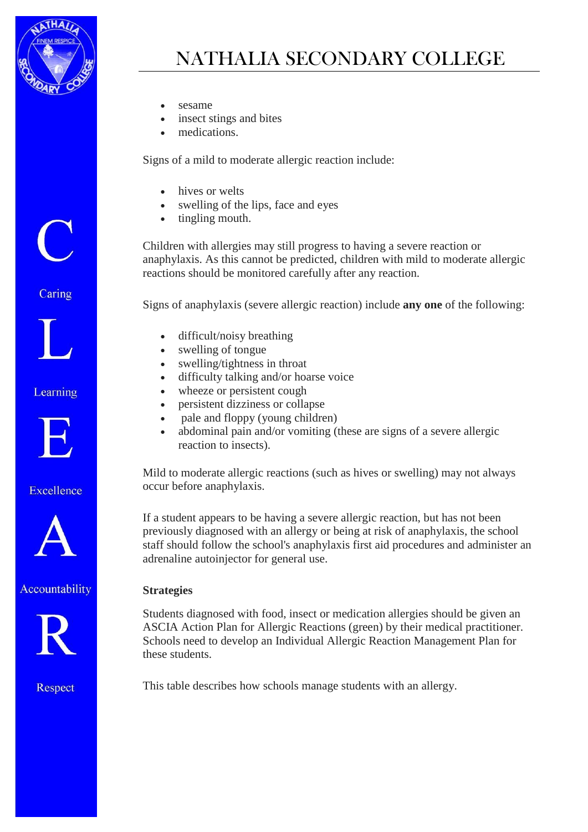

- sesame
- insect stings and bites
- medications.

Signs of a mild to moderate allergic reaction include:

- hives or welts
- swelling of the lips, face and eyes
- tingling mouth.

Children with allergies may still progress to having a severe reaction or anaphylaxis. As this cannot be predicted, children with mild to moderate allergic reactions should be monitored carefully after any reaction.

Signs of anaphylaxis (severe allergic reaction) include **any one** of the following:

- difficult/noisy breathing
- swelling of tongue
- swelling/tightness in throat
- difficulty talking and/or hoarse voice
- wheeze or persistent cough
- persistent dizziness or collapse
- pale and floppy (young children)
- abdominal pain and/or vomiting (these are signs of a severe allergic reaction to insects).

Mild to moderate allergic reactions (such as hives or swelling) may not always occur before anaphylaxis.

If a student appears to be having a severe allergic reaction, but has not been previously diagnosed with an allergy or being at risk of anaphylaxis, the school staff should follow the school's anaphylaxis first aid procedures and administer an adrenaline autoinjector for general use.

#### **Strategies**

Students diagnosed with food, insect or medication allergies should be given an ASCIA Action Plan for Allergic Reactions (green) by their medical practitioner. Schools need to develop an Individual Allergic Reaction Management Plan for these students.

This table describes how schools manage students with an allergy.

Caring

Learning







Accountability



Respect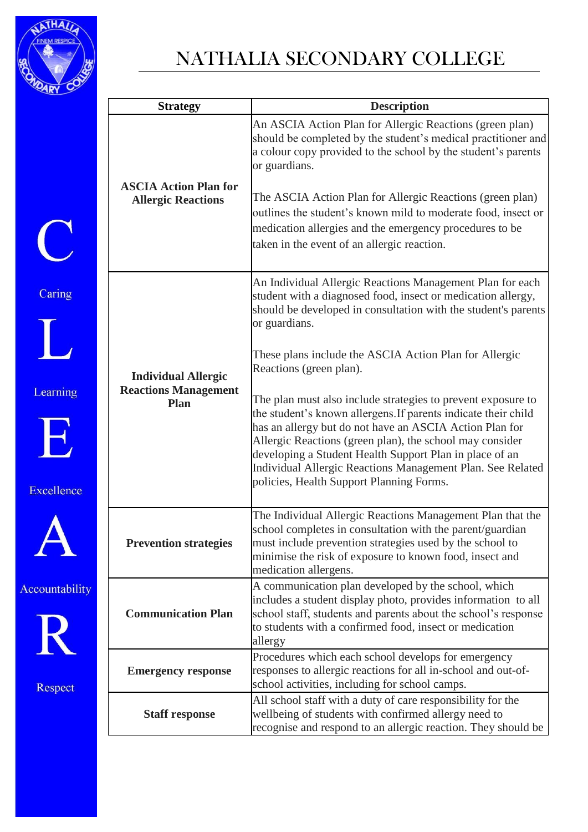

## NATHALIA SECONDARY COLLEGE

|                               | <b>Strategy</b>                                                   | <b>Description</b>                                                                                                                                                                                                                                                                                                                                                                                                         |
|-------------------------------|-------------------------------------------------------------------|----------------------------------------------------------------------------------------------------------------------------------------------------------------------------------------------------------------------------------------------------------------------------------------------------------------------------------------------------------------------------------------------------------------------------|
|                               | <b>ASCIA Action Plan for</b><br><b>Allergic Reactions</b>         | An ASCIA Action Plan for Allergic Reactions (green plan)<br>should be completed by the student's medical practitioner and<br>a colour copy provided to the school by the student's parents<br>or guardians.<br>The ASCIA Action Plan for Allergic Reactions (green plan)                                                                                                                                                   |
| $\cup$                        |                                                                   | outlines the student's known mild to moderate food, insect or<br>medication allergies and the emergency procedures to be<br>taken in the event of an allergic reaction.                                                                                                                                                                                                                                                    |
| Caring                        | <b>Individual Allergic</b><br><b>Reactions Management</b><br>Plan | An Individual Allergic Reactions Management Plan for each<br>student with a diagnosed food, insect or medication allergy,<br>should be developed in consultation with the student's parents<br>or guardians.                                                                                                                                                                                                               |
|                               |                                                                   | These plans include the ASCIA Action Plan for Allergic<br>Reactions (green plan).                                                                                                                                                                                                                                                                                                                                          |
| Learning<br>ABJ<br>Excellence |                                                                   | The plan must also include strategies to prevent exposure to<br>the student's known allergens. If parents indicate their child<br>has an allergy but do not have an ASCIA Action Plan for<br>Allergic Reactions (green plan), the school may consider<br>developing a Student Health Support Plan in place of an<br>Individual Allergic Reactions Management Plan. See Related<br>policies, Health Support Planning Forms. |
|                               | <b>Prevention strategies</b>                                      | The Individual Allergic Reactions Management Plan that the<br>school completes in consultation with the parent/guardian<br>must include prevention strategies used by the school to<br>minimise the risk of exposure to known food, insect and<br>medication allergens.                                                                                                                                                    |
| Accountability<br>R           | <b>Communication Plan</b>                                         | A communication plan developed by the school, which<br>includes a student display photo, provides information to all<br>school staff, students and parents about the school's response<br>to students with a confirmed food, insect or medication<br>allergy                                                                                                                                                               |
| Respect                       | <b>Emergency response</b>                                         | Procedures which each school develops for emergency<br>responses to allergic reactions for all in-school and out-of-<br>school activities, including for school camps.                                                                                                                                                                                                                                                     |
|                               | <b>Staff response</b>                                             | All school staff with a duty of care responsibility for the<br>wellbeing of students with confirmed allergy need to<br>recognise and respond to an allergic reaction. They should be                                                                                                                                                                                                                                       |